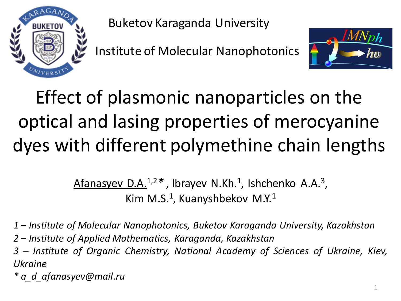

Buketov Karaganda University

Institute of Molecular Nanophotonics



## Effect of plasmonic nanoparticles on the optical and lasing properties of merocyanine dyes with different polymethine chain lengths

Afanasyev D.A.<sup>1,2</sup>\*, Ibrayev N.Kh.<sup>1</sup>, Ishchenko A.A.<sup>3</sup>, Kim M.S.<sup>1</sup>, Kuanyshbekov M.Y.<sup>1</sup>

*1 – Institute of Molecular Nanophotonics, Buketov Karaganda University, Kazakhstan*

*2 – Institute of Applied Mathematics, Karaganda, Kazakhstan*

*3 – Institute of Organic Chemistry, National Academy of Sciences of Ukraine, Kiev, Ukraine*

*\* a\_d\_afanasyev@mail.ru*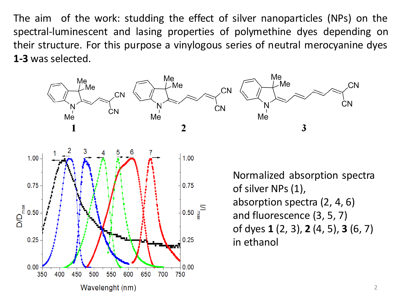The aim of the work: studding the effect of silver nanoparticles (NPs) on the spectral-luminescent and lasing properties of polymethine dyes depending on their structure. For this purpose a vinylogous series of neutral merocyanine dyes **1-3** was selected.

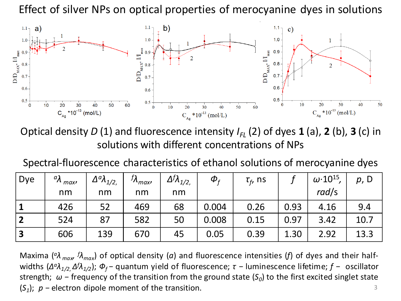Effect of silver NPs on optical properties of merocyanine dyes in solutions



Optical density  $D(1)$  and fluorescence intensity  $I_{FL}(2)$  of dyes 1 (a), 2 (b), 3 (c) in solutions with different concentrations of NPs

Spectral-fluorescence characteristics of ethanol solutions of merocyanine dyes

| Dye                     | $^{\perp}$ $^{\alpha}$ $\lambda$ maxi | $\Delta^a \lambda_{1/2}$ | $\int \lambda_{max}$ | $\Delta^{f} \lambda_{1/2}$ | $\boldsymbol{\phi}_{\epsilon}$ | $\tau_f$ , ns |      | $\omega$ . 10 <sup>15</sup> , | p, D |
|-------------------------|---------------------------------------|--------------------------|----------------------|----------------------------|--------------------------------|---------------|------|-------------------------------|------|
|                         | nm                                    | nm                       | nm                   | nm                         |                                |               |      | rad/s                         |      |
|                         | 426                                   | 52                       | 469                  | 68                         | 0.004                          | 0.26          | 0.93 | 4.16                          | 9.4  |
| $\overline{2}$          | 524                                   | 87                       | 582                  | 50                         | 0.008                          | 0.15          | 0.97 | 3.42                          | 10.7 |
| $\overline{\mathbf{3}}$ | 606                                   | 139                      | 670                  | 45                         | 0.05                           | 0.39          | 1.30 | 2.92                          | 13.3 |

3 *M*axima (<sup>α</sup>λ<sub>*max</sub> fλ<sub>max</sub>*) of optical density (a) and fluorescence intensities (f) of dyes and their half-</sub> widths (*Δ <sup>a</sup>λ1/2*, *Δ <sup>f</sup>λ1/2* ); *Ф<sup>f</sup> −* quantum yield of fluorescence; *τ −* luminescence lifetime; *f −* oscillator strength; *ω −* frequency of the transition from the ground state (*S<sup>0</sup>* ) to the first excited singlet state (*S1* ); *p −* electron dipole moment of the transition.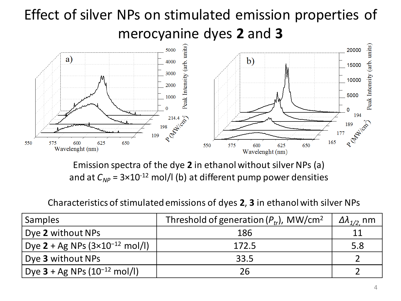## Effect of silver NPs on stimulated emission properties of merocyanine dyes **2** and **3**



Emission spectra of the dye **2** in ethanol without silver NPs (a) and at  $C_{NP}$  = 3×10<sup>-12</sup> mol/l (b) at different pump power densities

#### Characteristics of stimulated emissions of dyes **2**, **3** in ethanol with silver NPs

| <b>Samples</b>                                                | Threshold of generation $(P_{tr})$ , MW/cm <sup>2</sup> | $\Delta\lambda_{1/2}$ nm |
|---------------------------------------------------------------|---------------------------------------------------------|--------------------------|
| Dye 2 without NPs                                             | 186                                                     |                          |
| Dye 2 + Ag NPs $(3 \times 10^{-12} \text{ mol/l})$            | 172.5                                                   | 5.8                      |
| Dye 3 without NPs                                             | 33.5                                                    |                          |
| <sup>1</sup> Dye <b>3</b> + Ag NPs $(10^{-12} \text{ mol/l})$ | 26                                                      |                          |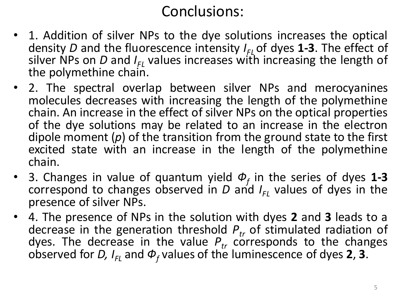### Conclusions:

- 1. Addition of silver NPs to the dye solutions increases the optical density *D* and the fluorescence intensity *I FL* of dyes **1-3**. The effect of silver NPs on *D* and *I FL* values increases with increasing the length of the polymethine chain.
- 2. The spectral overlap between silver NPs and merocyanines molecules decreases with increasing the length of the polymethine chain. An increase in the effect of silver NPs on the optical properties of the dye solutions may be related to an increase in the electron dipole moment (*p*) of the transition from the ground state to the first excited state with an increase in the length of the polymethine chain.
- 3. Changes in value of quantum yield *Ф<sup>f</sup>* in the series of dyes **1-3** correspond to changes observed in *D* and *I FL* values of dyes in the presence of silver NPs.
- 4. The presence of NPs in the solution with dyes **2** and **3** leads to a decrease in the generation threshold *Ptr* of stimulated radiation of dyes. The decrease in the value  $P_{tr}$  corresponds to the changes observed for *D, I FL* and *Ф<sup>f</sup>* values of the luminescence of dyes **2**, **3**.